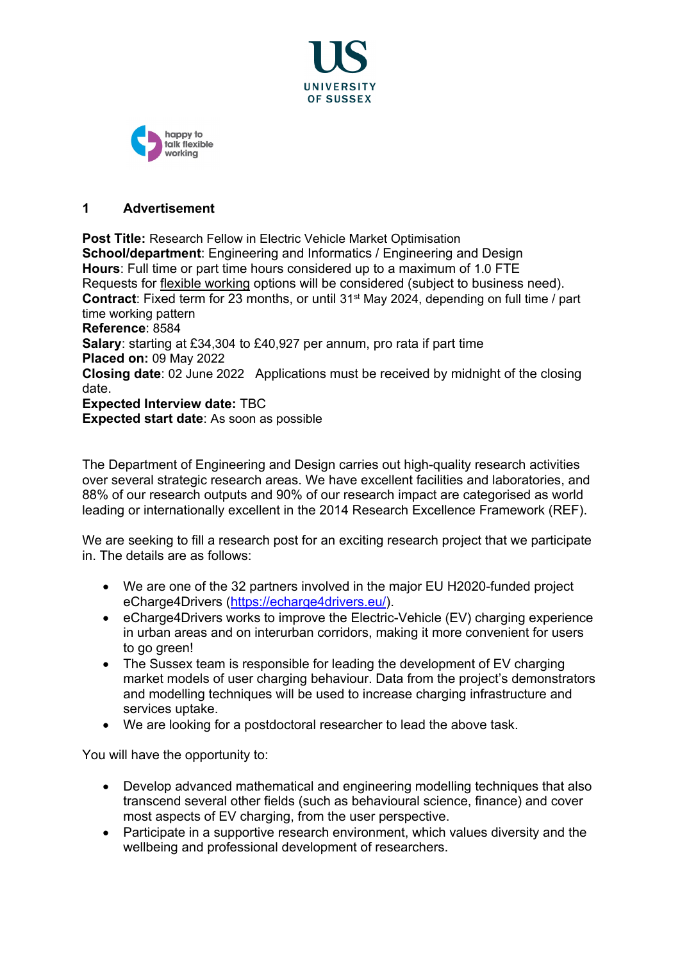



### **1 Advertisement**

**Post Title:** Research Fellow in Electric Vehicle Market Optimisation **School/department**: Engineering and Informatics / Engineering and Design **Hours**: Full time or part time hours considered up to a maximum of 1.0 FTE Requests for [flexible working](http://www.sussex.ac.uk/humanresources/personnel/flexible-working) options will be considered (subject to business need). **Contract**: Fixed term for 23 months, or until 31st May 2024, depending on full time / part time working pattern **Reference**: 8584 **Salary**: starting at £34,304 to £40,927 per annum, pro rata if part time **Placed on:** 09 May 2022 **Closing date**: 02 June 2022 Applications must be received by midnight of the closing date. **Expected Interview date:** TBC **Expected start date**: As soon as possible

The Department of Engineering and Design carries out high-quality research activities over several strategic research areas. We have excellent facilities and laboratories, and 88% of our research outputs and 90% of our research impact are categorised as world leading or internationally excellent in the 2014 Research Excellence Framework (REF).

We are seeking to fill a research post for an exciting research project that we participate in. The details are as follows:

- We are one of the 32 partners involved in the major EU H2020-funded project eCharge4Drivers [\(https://echarge4drivers.eu/\)](https://echarge4drivers.eu/).
- eCharge4Drivers works to improve the Electric-Vehicle (EV) charging experience in urban areas and on interurban corridors, making it more convenient for users to go green!
- The Sussex team is responsible for leading the development of EV charging market models of user charging behaviour. Data from the project's demonstrators and modelling techniques will be used to increase charging infrastructure and services uptake.
- We are looking for a postdoctoral researcher to lead the above task.

You will have the opportunity to:

- Develop advanced mathematical and engineering modelling techniques that also transcend several other fields (such as behavioural science, finance) and cover most aspects of EV charging, from the user perspective.
- Participate in a supportive research environment, which values diversity and the wellbeing and professional development of researchers.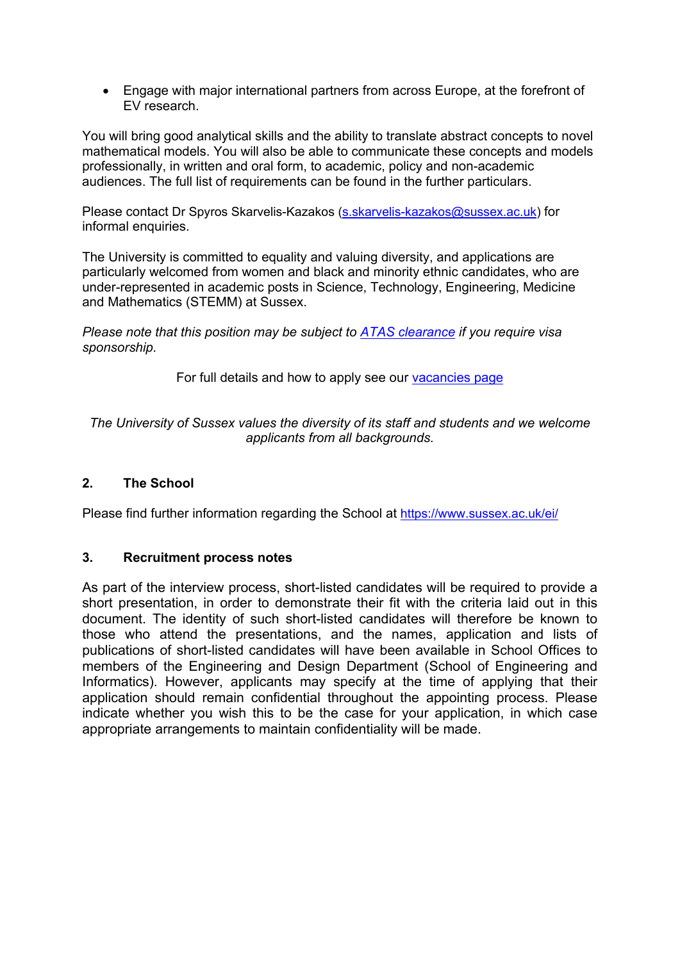• Engage with major international partners from across Europe, at the forefront of EV research.

You will bring good analytical skills and the ability to translate abstract concepts to novel mathematical models. You will also be able to communicate these concepts and models professionally, in written and oral form, to academic, policy and non-academic audiences. The full list of requirements can be found in the further particulars.

Please contact Dr Spyros Skarvelis-Kazakos (s. skarvelis-kazakos@sussex.ac.uk) for informal enquiries.

The University is committed to equality and valuing diversity, and applications are particularly welcomed from women and black and minority ethnic candidates, who are under-represented in academic posts in Science, Technology, Engineering, Medicine and Mathematics (STEMM) at Sussex.

*Please note that this position may be subject to [ATAS clearance](https://www.gov.uk/guidance/academic-technology-approval-scheme) if you require visa sponsorship.*

For full details and how to apply see our [vacancies page](http://www.sussex.ac.uk/about/jobs)

*The University of Sussex values the diversity of its staff and students and we welcome applicants from all backgrounds.*

## **2. The School**

Please find further information regarding the School at <https://www.sussex.ac.uk/ei/>

## **3. Recruitment process notes**

As part of the interview process, short-listed candidates will be required to provide a short presentation, in order to demonstrate their fit with the criteria laid out in this document. The identity of such short-listed candidates will therefore be known to those who attend the presentations, and the names, application and lists of publications of short-listed candidates will have been available in School Offices to members of the Engineering and Design Department (School of Engineering and Informatics). However, applicants may specify at the time of applying that their application should remain confidential throughout the appointing process. Please indicate whether you wish this to be the case for your application, in which case appropriate arrangements to maintain confidentiality will be made.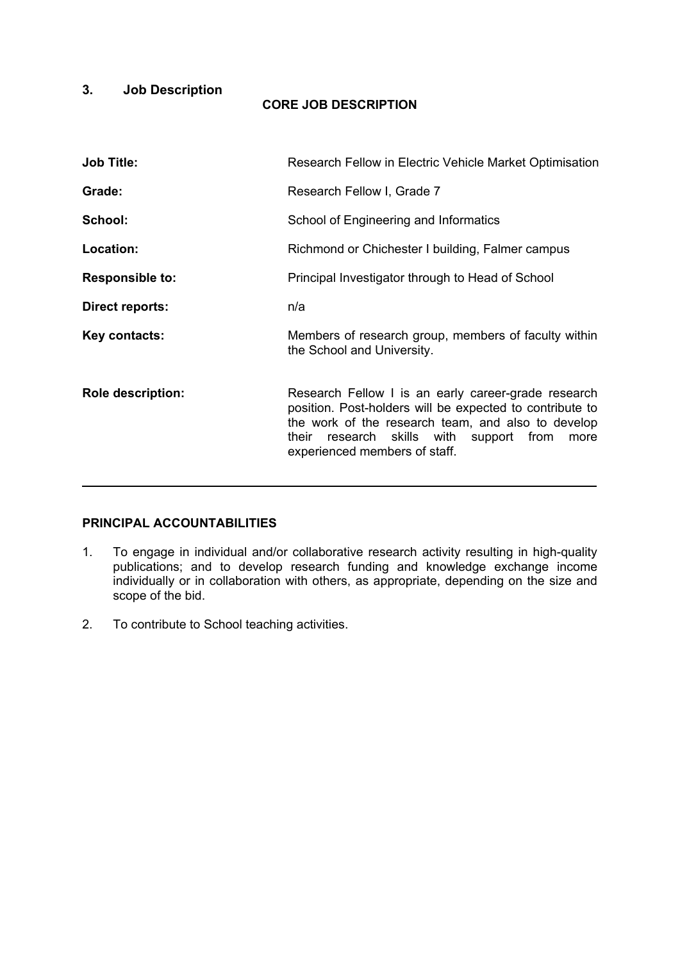# **3. Job Description**

### **CORE JOB DESCRIPTION**

| <b>Job Title:</b>        | Research Fellow in Electric Vehicle Market Optimisation                                                                                                                                                                                                   |
|--------------------------|-----------------------------------------------------------------------------------------------------------------------------------------------------------------------------------------------------------------------------------------------------------|
| Grade:                   | Research Fellow I, Grade 7                                                                                                                                                                                                                                |
| School:                  | School of Engineering and Informatics                                                                                                                                                                                                                     |
| Location:                | Richmond or Chichester I building, Falmer campus                                                                                                                                                                                                          |
| <b>Responsible to:</b>   | Principal Investigator through to Head of School                                                                                                                                                                                                          |
| Direct reports:          | n/a                                                                                                                                                                                                                                                       |
| Key contacts:            | Members of research group, members of faculty within<br>the School and University.                                                                                                                                                                        |
| <b>Role description:</b> | Research Fellow I is an early career-grade research<br>position. Post-holders will be expected to contribute to<br>the work of the research team, and also to develop<br>their research skills with support from<br>more<br>experienced members of staff. |

## **PRINCIPAL ACCOUNTABILITIES**

- 1. To engage in individual and/or collaborative research activity resulting in high-quality publications; and to develop research funding and knowledge exchange income individually or in collaboration with others, as appropriate, depending on the size and scope of the bid.
- 2. To contribute to School teaching activities.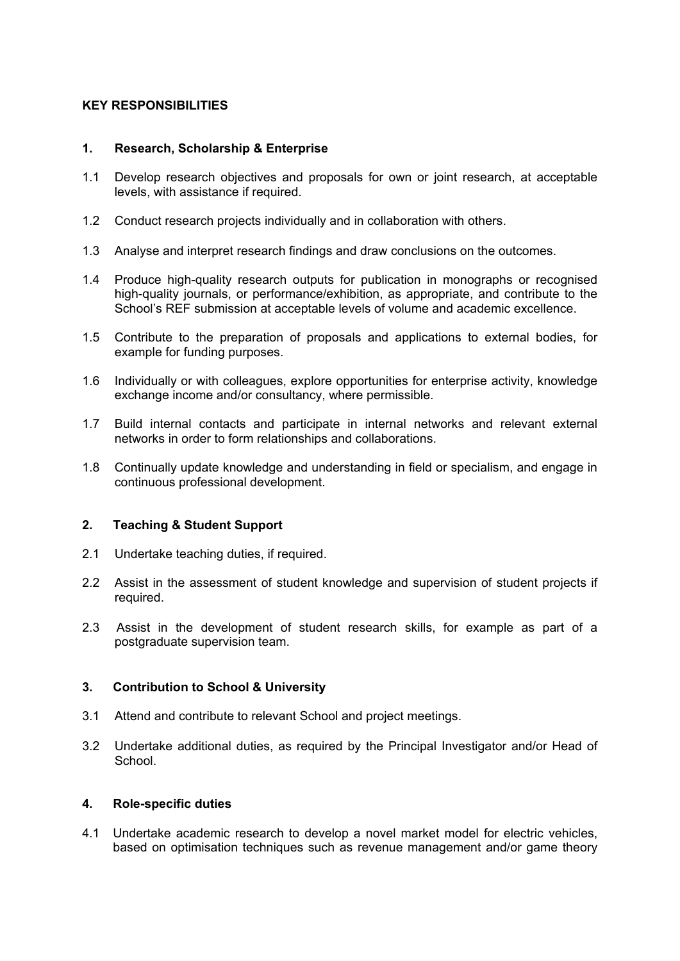### **KEY RESPONSIBILITIES**

#### **1. Research, Scholarship & Enterprise**

- 1.1 Develop research objectives and proposals for own or joint research, at acceptable levels, with assistance if required.
- 1.2 Conduct research projects individually and in collaboration with others.
- 1.3 Analyse and interpret research findings and draw conclusions on the outcomes.
- 1.4 Produce high-quality research outputs for publication in monographs or recognised high-quality journals, or performance/exhibition, as appropriate, and contribute to the School's REF submission at acceptable levels of volume and academic excellence.
- 1.5 Contribute to the preparation of proposals and applications to external bodies, for example for funding purposes.
- 1.6 Individually or with colleagues, explore opportunities for enterprise activity, knowledge exchange income and/or consultancy, where permissible.
- 1.7 Build internal contacts and participate in internal networks and relevant external networks in order to form relationships and collaborations.
- 1.8 Continually update knowledge and understanding in field or specialism, and engage in continuous professional development.

#### **2. Teaching & Student Support**

- 2.1 Undertake teaching duties, if required.
- 2.2 Assist in the assessment of student knowledge and supervision of student projects if required.
- 2.3 Assist in the development of student research skills, for example as part of a postgraduate supervision team.

#### **3. Contribution to School & University**

- 3.1 Attend and contribute to relevant School and project meetings.
- 3.2 Undertake additional duties, as required by the Principal Investigator and/or Head of **School**

#### **4. Role-specific duties**

4.1 Undertake academic research to develop a novel market model for electric vehicles, based on optimisation techniques such as revenue management and/or game theory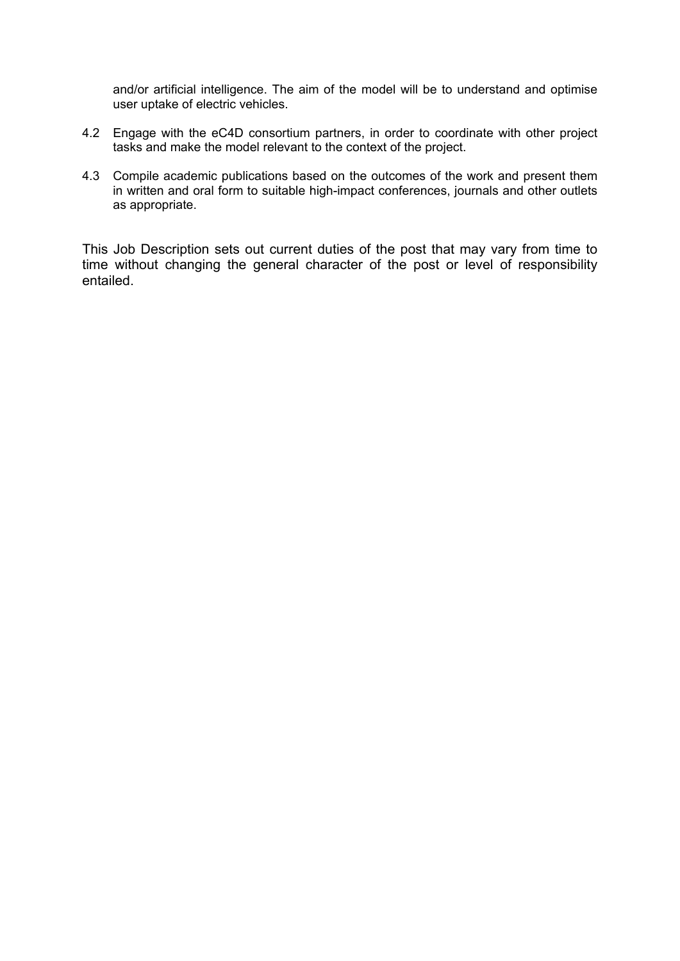and/or artificial intelligence. The aim of the model will be to understand and optimise user uptake of electric vehicles.

- 4.2 Engage with the eC4D consortium partners, in order to coordinate with other project tasks and make the model relevant to the context of the project.
- 4.3 Compile academic publications based on the outcomes of the work and present them in written and oral form to suitable high-impact conferences, journals and other outlets as appropriate.

This Job Description sets out current duties of the post that may vary from time to time without changing the general character of the post or level of responsibility entailed.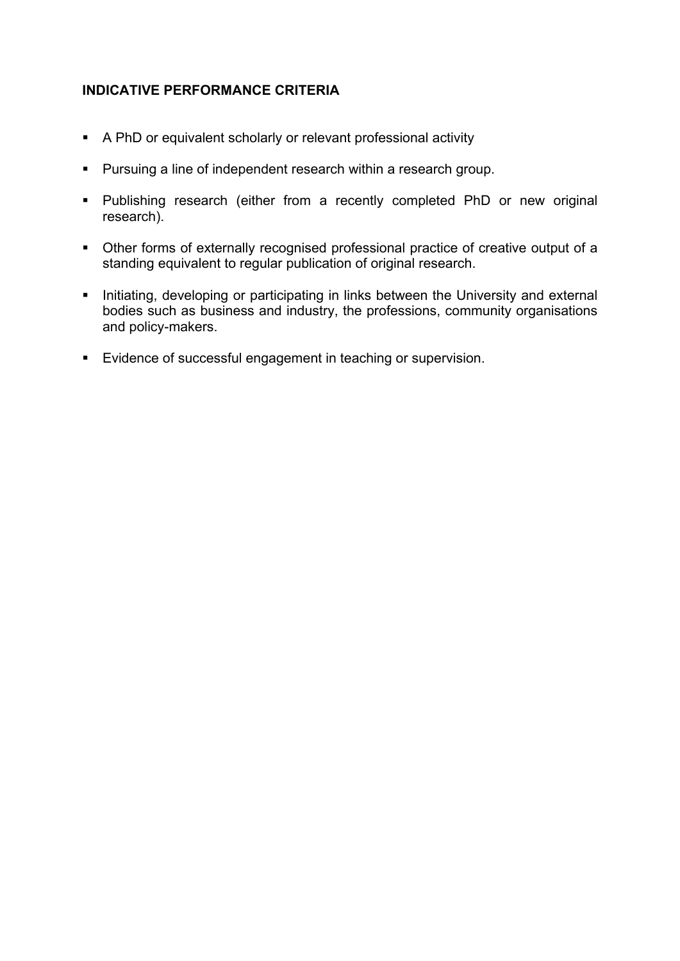# **INDICATIVE PERFORMANCE CRITERIA**

- A PhD or equivalent scholarly or relevant professional activity
- Pursuing a line of independent research within a research group.
- Publishing research (either from a recently completed PhD or new original research).
- Other forms of externally recognised professional practice of creative output of a standing equivalent to regular publication of original research.
- Initiating, developing or participating in links between the University and external bodies such as business and industry, the professions, community organisations and policy-makers.
- Evidence of successful engagement in teaching or supervision.